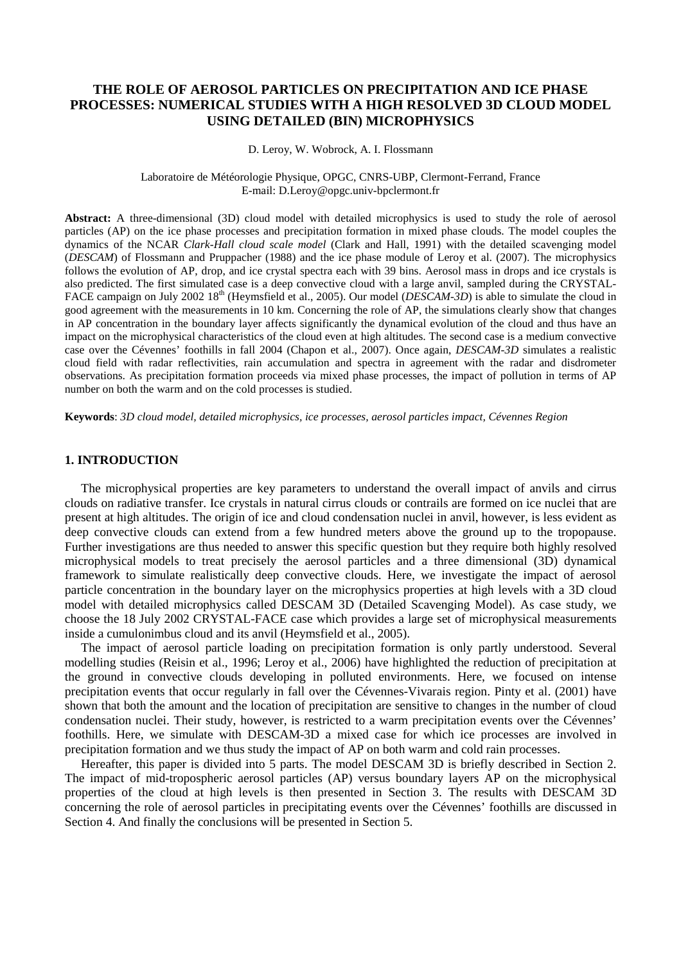# **THE ROLE OF AEROSOL PARTICLES ON PRECIPITATION AND ICE PHASE PROCESSES: NUMERICAL STUDIES WITH A HIGH RESOLVED 3D CLOUD MODEL USING DETAILED (BIN) MICROPHYSICS**

#### D. Leroy, W. Wobrock, A. I. Flossmann

#### Laboratoire de Météorologie Physique, OPGC, CNRS-UBP, Clermont-Ferrand, France E-mail: D.Leroy@opgc.univ-bpclermont.fr

**Abstract:** A three-dimensional (3D) cloud model with detailed microphysics is used to study the role of aerosol particles (AP) on the ice phase processes and precipitation formation in mixed phase clouds. The model couples the dynamics of the NCAR *Clark-Hall cloud scale model* (Clark and Hall, 1991) with the detailed scavenging model (*DESCAM*) of Flossmann and Pruppacher (1988) and the ice phase module of Leroy et al. (2007). The microphysics follows the evolution of AP, drop, and ice crystal spectra each with 39 bins. Aerosol mass in drops and ice crystals is also predicted. The first simulated case is a deep convective cloud with a large anvil, sampled during the CRYSTAL-FACE campaign on July 2002 18<sup>th</sup> (Heymsfield et al., 2005). Our model (*DESCAM-3D*) is able to simulate the cloud in good agreement with the measurements in 10 km. Concerning the role of AP, the simulations clearly show that changes in AP concentration in the boundary layer affects significantly the dynamical evolution of the cloud and thus have an impact on the microphysical characteristics of the cloud even at high altitudes. The second case is a medium convective case over the Cévennes' foothills in fall 2004 (Chapon et al., 2007). Once again, *DESCAM-3D* simulates a realistic cloud field with radar reflectivities, rain accumulation and spectra in agreement with the radar and disdrometer observations. As precipitation formation proceeds via mixed phase processes, the impact of pollution in terms of AP number on both the warm and on the cold processes is studied.

**Keywords**: *3D cloud model, detailed microphysics, ice processes, aerosol particles impact, Cévennes Region* 

## **1. INTRODUCTION**

The microphysical properties are key parameters to understand the overall impact of anvils and cirrus clouds on radiative transfer. Ice crystals in natural cirrus clouds or contrails are formed on ice nuclei that are present at high altitudes. The origin of ice and cloud condensation nuclei in anvil, however, is less evident as deep convective clouds can extend from a few hundred meters above the ground up to the tropopause. Further investigations are thus needed to answer this specific question but they require both highly resolved microphysical models to treat precisely the aerosol particles and a three dimensional (3D) dynamical framework to simulate realistically deep convective clouds. Here, we investigate the impact of aerosol particle concentration in the boundary layer on the microphysics properties at high levels with a 3D cloud model with detailed microphysics called DESCAM 3D (Detailed Scavenging Model). As case study, we choose the 18 July 2002 CRYSTAL-FACE case which provides a large set of microphysical measurements inside a cumulonimbus cloud and its anvil (Heymsfield et al., 2005).

The impact of aerosol particle loading on precipitation formation is only partly understood. Several modelling studies (Reisin et al., 1996; Leroy et al., 2006) have highlighted the reduction of precipitation at the ground in convective clouds developing in polluted environments. Here, we focused on intense precipitation events that occur regularly in fall over the Cévennes-Vivarais region. Pinty et al. (2001) have shown that both the amount and the location of precipitation are sensitive to changes in the number of cloud condensation nuclei. Their study, however, is restricted to a warm precipitation events over the Cévennes' foothills. Here, we simulate with DESCAM-3D a mixed case for which ice processes are involved in precipitation formation and we thus study the impact of AP on both warm and cold rain processes.

Hereafter, this paper is divided into 5 parts. The model DESCAM 3D is briefly described in Section 2. The impact of mid-tropospheric aerosol particles (AP) versus boundary layers AP on the microphysical properties of the cloud at high levels is then presented in Section 3. The results with DESCAM 3D concerning the role of aerosol particles in precipitating events over the Cévennes' foothills are discussed in Section 4. And finally the conclusions will be presented in Section 5.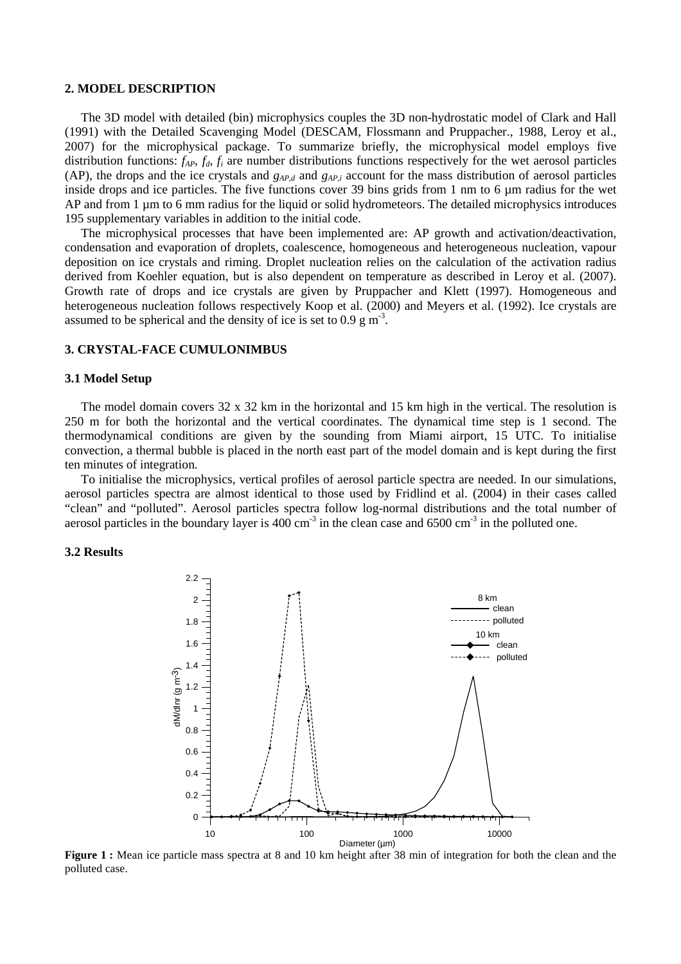# **2. MODEL DESCRIPTION**

The 3D model with detailed (bin) microphysics couples the 3D non-hydrostatic model of Clark and Hall (1991) with the Detailed Scavenging Model (DESCAM, Flossmann and Pruppacher., 1988, Leroy et al., 2007) for the microphysical package. To summarize briefly, the microphysical model employs five distribution functions: *fAP*, *fd*, *f<sup>i</sup>* are number distributions functions respectively for the wet aerosol particles (AP), the drops and the ice crystals and *gAP,d* and *gAP,i* account for the mass distribution of aerosol particles inside drops and ice particles. The five functions cover 39 bins grids from 1 nm to 6 µm radius for the wet AP and from 1 µm to 6 mm radius for the liquid or solid hydrometeors. The detailed microphysics introduces 195 supplementary variables in addition to the initial code.

The microphysical processes that have been implemented are: AP growth and activation/deactivation, condensation and evaporation of droplets, coalescence, homogeneous and heterogeneous nucleation, vapour deposition on ice crystals and riming. Droplet nucleation relies on the calculation of the activation radius derived from Koehler equation, but is also dependent on temperature as described in Leroy et al. (2007). Growth rate of drops and ice crystals are given by Pruppacher and Klett (1997). Homogeneous and heterogeneous nucleation follows respectively Koop et al. (2000) and Meyers et al. (1992). Ice crystals are assumed to be spherical and the density of ice is set to  $0.9 \text{ g m}^3$ .

### **3. CRYSTAL-FACE CUMULONIMBUS**

#### **3.1 Model Setup**

The model domain covers 32 x 32 km in the horizontal and 15 km high in the vertical. The resolution is 250 m for both the horizontal and the vertical coordinates. The dynamical time step is 1 second. The thermodynamical conditions are given by the sounding from Miami airport, 15 UTC. To initialise convection, a thermal bubble is placed in the north east part of the model domain and is kept during the first ten minutes of integration.

To initialise the microphysics, vertical profiles of aerosol particle spectra are needed. In our simulations, aerosol particles spectra are almost identical to those used by Fridlind et al. (2004) in their cases called "clean" and "polluted". Aerosol particles spectra follow log-normal distributions and the total number of aerosol particles in the boundary layer is  $400 \text{ cm}^3$  in the clean case and 6500 cm<sup>-3</sup> in the polluted one.

#### **3.2 Results**



**Figure 1 :** Mean ice particle mass spectra at 8 and 10 km height after 38 min of integration for both the clean and the polluted case.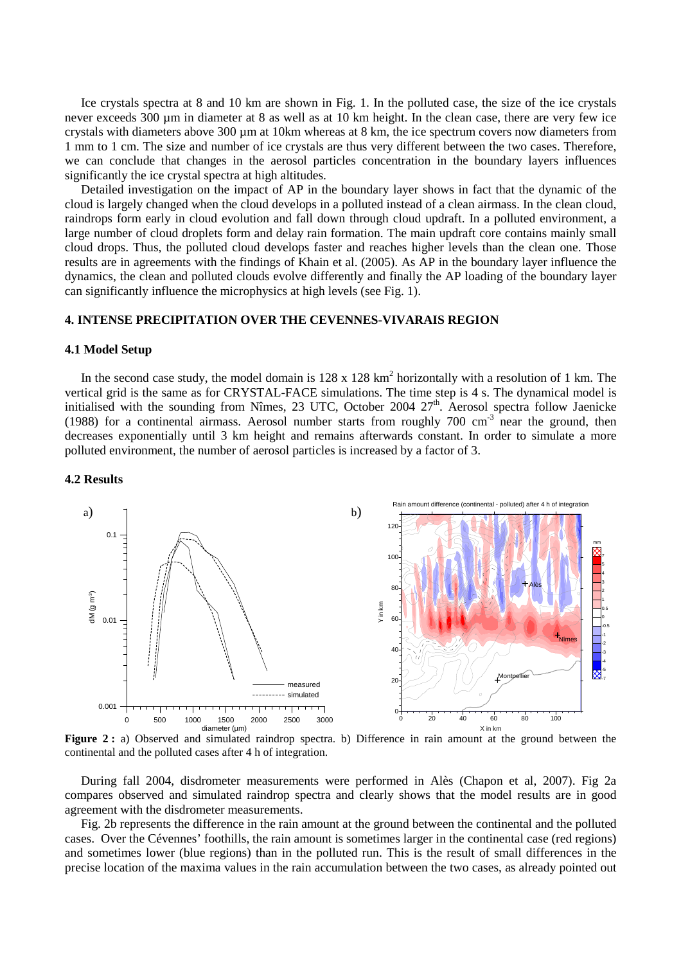Ice crystals spectra at 8 and 10 km are shown in Fig. 1. In the polluted case, the size of the ice crystals never exceeds 300 µm in diameter at 8 as well as at 10 km height. In the clean case, there are very few ice crystals with diameters above 300 µm at 10km whereas at 8 km, the ice spectrum covers now diameters from 1 mm to 1 cm. The size and number of ice crystals are thus very different between the two cases. Therefore, we can conclude that changes in the aerosol particles concentration in the boundary layers influences significantly the ice crystal spectra at high altitudes.

Detailed investigation on the impact of AP in the boundary layer shows in fact that the dynamic of the cloud is largely changed when the cloud develops in a polluted instead of a clean airmass. In the clean cloud, raindrops form early in cloud evolution and fall down through cloud updraft. In a polluted environment, a large number of cloud droplets form and delay rain formation. The main updraft core contains mainly small cloud drops. Thus, the polluted cloud develops faster and reaches higher levels than the clean one. Those results are in agreements with the findings of Khain et al. (2005). As AP in the boundary layer influence the dynamics, the clean and polluted clouds evolve differently and finally the AP loading of the boundary layer can significantly influence the microphysics at high levels (see Fig. 1).

## **4. INTENSE PRECIPITATION OVER THE CEVENNES-VIVARAIS REGION**

### **4.1 Model Setup**

In the second case study, the model domain is  $128 \times 128$  km<sup>2</sup> horizontally with a resolution of 1 km. The vertical grid is the same as for CRYSTAL-FACE simulations. The time step is 4 s. The dynamical model is initialised with the sounding from Nîmes, 23 UTC, October 2004  $27<sup>th</sup>$ . Aerosol spectra follow Jaenicke (1988) for a continental airmass. Aerosol number starts from roughly  $700 \text{ cm}^3$  near the ground, then decreases exponentially until 3 km height and remains afterwards constant. In order to simulate a more polluted environment, the number of aerosol particles is increased by a factor of 3.

#### **4.2 Results**



**Figure 2 :** a) Observed and simulated raindrop spectra. b) Difference in rain amount at the ground between the continental and the polluted cases after 4 h of integration.

During fall 2004, disdrometer measurements were performed in Alès (Chapon et al, 2007). Fig 2a compares observed and simulated raindrop spectra and clearly shows that the model results are in good agreement with the disdrometer measurements.

Fig. 2b represents the difference in the rain amount at the ground between the continental and the polluted cases. Over the Cévennes' foothills, the rain amount is sometimes larger in the continental case (red regions) and sometimes lower (blue regions) than in the polluted run. This is the result of small differences in the precise location of the maxima values in the rain accumulation between the two cases, as already pointed out